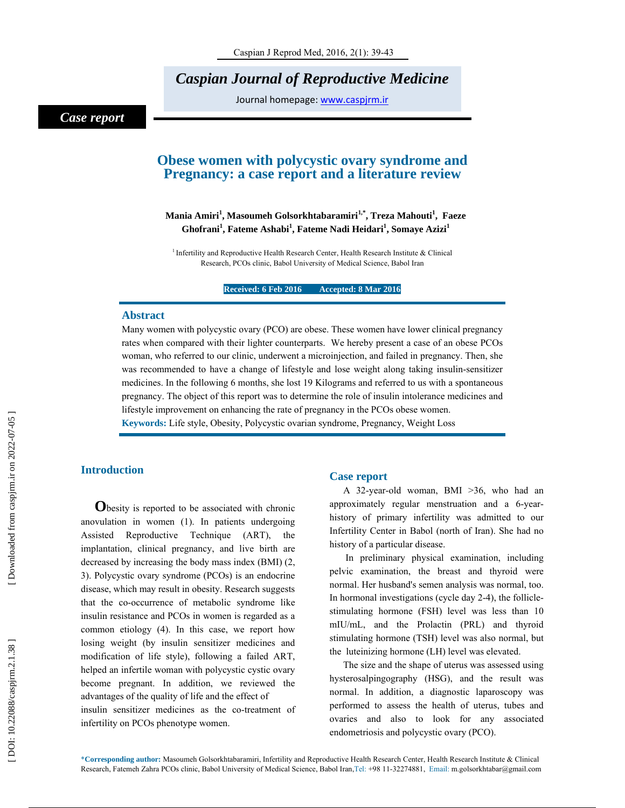*Caspian Journal of Reproductive Medicine* 

Journal homepage: www.caspjrm.ir

# *Case report*

# **Obese women with polycystic ovary syndrome and Pregnancy: a case report and a literature review**

# **Mania Amiri 1 , Masoumeh Golsorkhtabaramiri1,\*, Treza Mahouti 1 , Faeze**   $\mathbf{G}$ hofrani $^1$ , Fateme Ashabi $^1$ , Fateme Nadi Heidari $^1$ , Somaye Azizi $^1$

<sup>1</sup> Infertility and Reproductive Health Research Center, Health Research Institute & Clinical Research, PCOs clinic, Babol University of Medical Science, Babol Iran

**Received: 6 Feb 2016 Accepted: 8 Mar 2016** 

## **Abstract**

Many women with polycystic ovary (PCO) are obese. These women have lower clinical pregnancy rates when compared with their lighter counterparts. We hereby present a case of an obese PCOs woman, who referred to our clinic, underwent a microinjection, and failed in pregnancy. Then, she was recommended to have a change of lifestyle and lose weight along taking insulin-sensitizer medicines. In the following 6 months, she lost 19 Kilograms and referred to us with a spontaneous pregnancy. The object of this report was to determine the role of insulin intolerance medicines and lifestyle improvement on enhancing the rate of pregnancy in the PCOs obese women.

**Keywords:** Life style, Obesity, Polycystic ovarian syndrome, Pregnancy, Weight Loss

**Introduction**<br> **O**besity is reported to be associated with chronic anovulation in women (1). In patients undergoing Assisted Reproductive Technique (ART), the implantation, clinical pregnancy, and live birth are decreased by increasing the body mass index (BMI) (2, 3). Polycystic ovary syndrome (PCOs) is an endocrine disease, which may result in obesity. Research suggests that the co-occurrence of metabolic syndrome like insulin resistance and PCOs in women is regarded as a common etiology (4). In this case, we report how losing weight (by insulin sensitizer medicines and modification of life style), following a failed ART, helped an infertile woman with polycystic cystic ovary become pregnant. In addition, we reviewed the advantages of the quality of life and the effect of insulin sensitizer medicines as the co-treatment of infertility on PCOs phenotype women.

# **Case report**

A 32-year-old woman, BMI >36, who had an approximately regular menstruation and a 6-yearhistory of primary infertility was admitted to our Infertility Center in Babol (north of Iran). She had no history of a particular disease.

 In preliminary physical examination, including pelvic examination, the breast and thyroid were normal. Her husband's semen analysis was normal, too. In hormonal investigations (cycle day 2-4), the folliclestimulating hormone (FSH) level was less than 10 mIU/mL, and the Prolactin (PRL) and thyroid stimulating hormone (TSH) level was also normal, but the luteinizing hormone (LH) level was elevated.

The size and the shape of uterus was assessed using hysterosalpingography (HSG), and the result was normal. In addition, a diagnostic laparoscopy was performed to assess the health of uterus, tubes and ovaries and also to look for any associated endometriosis and polycystic ovary (PCO).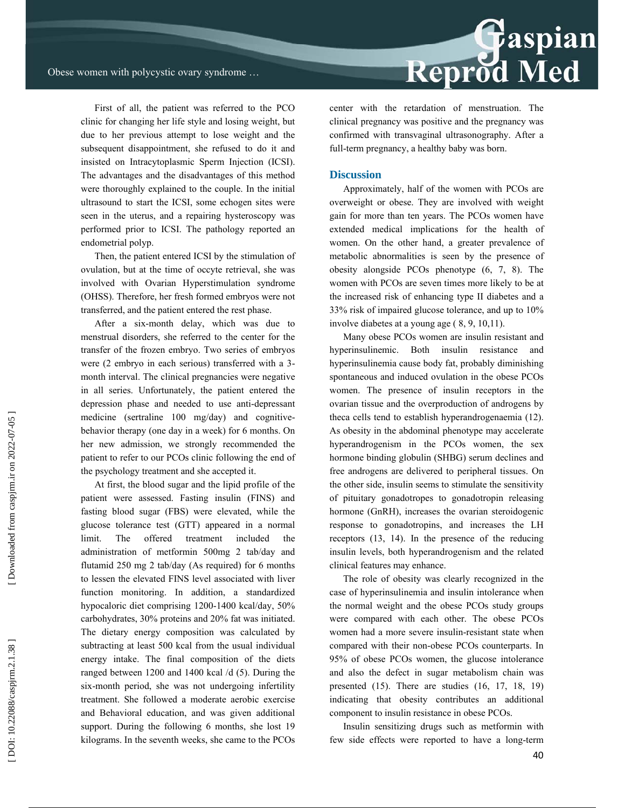First of all, the patient was referred to the PCO clinic for changing her life style and losing weight, but due to her previous attempt to lose weight and the subsequent disappointment, she refused to do it and insisted on Intracytoplasmic Sperm Injection (ICSI). The advantages and the disadvantages of this method were thoroughly explained to the couple. In the initial ultrasound to start the ICSI, some echogen sites were seen in the uterus, and a repairing hysteroscopy was performed prior to ICSI. The pathology reported an endometrial polyp.

Then, the patient entered ICSI by the stimulation of ovulation, but at the time of occyte retrieval, she was involved with Ovarian Hyperstimulation syndrome (OHSS). Therefore, her fresh formed embryos were not transferred, and the patient entered the rest phase.

After a six-month delay, which was due to menstrual disorders, she referred to the center for the transfer of the frozen embryo. Two series of embryos were (2 embryo in each serious) transferred with a 3 month interval. The clinical pregnancies were negative in all series. Unfortunately, the patient entered the depression phase and needed to use anti-depressant medicine (sertraline 100 mg/day) and cognitivebehavior therapy (one day in a week) for 6 months. On her new admission, we strongly recommended the patient to refer to our PCOs clinic following the end of the psychology treatment and she accepted it.

At first, the blood sugar and the lipid profile of the patient were assessed. Fasting insulin (FINS) and fasting blood sugar (FBS) were elevated, while the glucose tolerance test (GTT) appeared in a normal limit. The offered treatment included the administration of metformin 500mg 2 tab/day and flutamid 250 mg 2 tab/day (As required) for 6 months to lessen the elevated FINS level associated with liver function monitoring. In addition, a standardized hypocaloric diet comprising 1200-1400 kcal/day, 50% carbohydrates, 30% proteins and 20% fat was initiated. The dietary energy composition was calculated by subtracting at least 500 kcal from the usual individual energy intake. The final composition of the diets ranged between 1200 and 1400 kcal /d (5). During the six-month period, she was not undergoing infertility treatment. She followed a moderate aerobic exercise and Behavioral education, and was given additional support. During the following 6 months, she lost 19 kilograms. In the seventh weeks, she came to the PCOs



center with the retardation of menstruation. The clinical pregnancy was positive and the pregnancy was confirmed with transvaginal ultrasonography. After a full-term pregnancy, a healthy baby was born.

### **Discussion**

Approximately, half of the women with PCOs are overweight or obese. They are involved with weight gain for more than ten years. The PCOs women have extended medical implications for the health of women. On the other hand, a greater prevalence of metabolic abnormalities is seen by the presence of obesity alongside PCOs phenotype (6, 7, 8). The women with PCOs are seven times more likely to be at the increased risk of enhancing type II diabetes and a 33% risk of impaired glucose tolerance, and up to 10% involve diabetes at a young age ( 8, 9, 10,11).

Many obese PCOs women are insulin resistant and hyperinsulinemic. Both insulin resistance and hyperinsulinemia cause body fat, probably diminishing spontaneous and induced ovulation in the obese PCOs women. The presence of insulin receptors in the ovarian tissue and the overproduction of androgens by theca cells tend to establish hyperandrogenaemia (12). As obesity in the abdominal phenotype may accelerate hyperandrogenism in the PCOs women, the sex hormone binding globulin (SHBG) serum declines and free androgens are delivered to peripheral tissues. On the other side, insulin seems to stimulate the sensitivity of pituitary gonadotropes to gonadotropin releasing hormone (GnRH), increases the ovarian steroidogenic response to gonadotropins, and increases the LH receptors (13, 14). In the presence of the reducing insulin levels, both hyperandrogenism and the related clinical features may enhance.

The role of obesity was clearly recognized in the case of hyperinsulinemia and insulin intolerance when the normal weight and the obese PCOs study groups were compared with each other. The obese PCOs women had a more severe insulin-resistant state when compared with their non-obese PCOs counterparts. In 95% of obese PCOs women, the glucose intolerance and also the defect in sugar metabolism chain was presented (15). There are studies (16, 17, 18, 19) indicating that obesity contributes an additional component to insulin resistance in obese PCOs.

Insulin sensitizing drugs such as metformin with few side effects were reported to have a long-term

Downloaded from caspirm.ir on 2022-07-05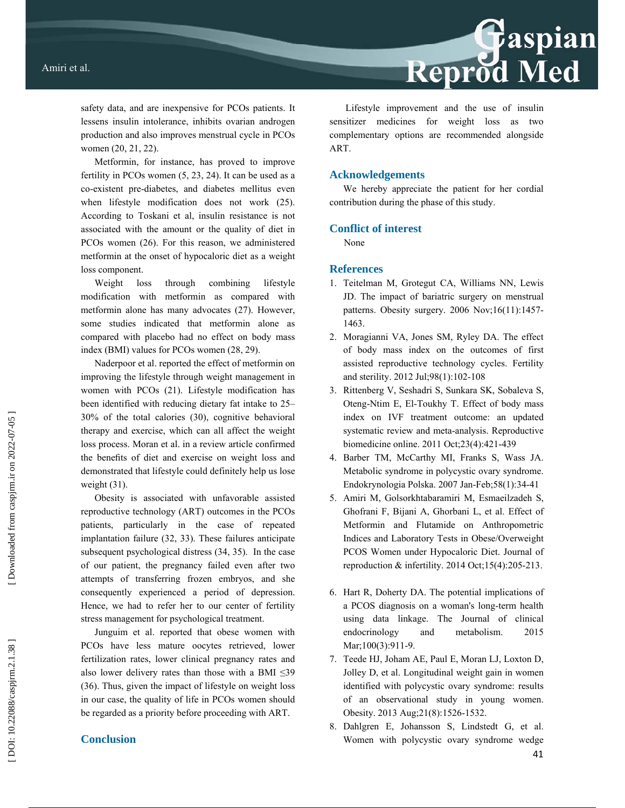safety data, and are inexpensive for PCOs patients. It lessens insulin intolerance, inhibits ovarian androgen production and also improves menstrual cycle in PCOs women (20, 21, 22).

Metformin, for instance, has proved to improve fertility in PCOs women (5, 23, 24). It can be used as a co-existent pre-diabetes, and diabetes mellitus even when lifestyle modification does not work (25). According to Toskani et al, insulin resistance is not associated with the amount or the quality of diet in PCOs women (26). For this reason, we administered metformin at the onset of hypocaloric diet as a weight loss component.

Weight loss through combining lifestyle modification with metformin as compared with metformin alone has many advocates (27). However, some studies indicated that metformin alone as compared with placebo had no effect on body mass index (BMI) values for PCOs women (28, 29).

Naderpoor et al. reported the effect of metformin on improving the lifestyle through weight management in women with PCOs (21). Lifestyle modification has been identified with reducing dietary fat intake to 25– 30% of the total calories (30), cognitive behavioral therapy and exercise, which can all affect the weight loss process. Moran et al. in a review article confirmed the bene fits of diet and exercise on weight loss and demonstrated that lifestyle could definitely help us lose weight (31).

Obesity is associated with unfavorable assisted reproductive technology (ART) outcomes in the PCOs patients, particularly in the case of repeated implantation failure (32, 33). These failures anticipate subsequent psychological distress (34, 35). In the case of our patient, the pregnancy failed even after two attempts of transferring frozen embryos, and she consequently experienced a period of depression. Hence, we had to refer her to our center of fertility stress management for psychological treatment.

Junguim et al. reported that obese women with PCOs have less mature oocytes retrieved, lower fertilization rates, lower clinical pregnancy rates and also lower delivery rates than those with a BMI  $\leq 39$ (36). Thus, given the impact of lifestyle on weight loss in our case, the quality of life in PCOs women should be regarded as a priority before proceeding with ART.

# **Conclusion**

Lifestyle improvement and the use of insulin sensitizer medicines for weight loss as two complementary options are recommended alongside ART.

## **Acknowledgements**

We hereby appreciate the patient for her cordial contribution during the phase of this study.

# **Conflict of interest**

None

# **References**

- 1. Teitelman M, Grotegut CA, Williams NN, Lewis JD. The impact of bariatric surgery on menstrual patterns. Obesity surgery. 2006 Nov;16(11):1457- 1463.
- 2. Moragianni VA, Jones SM, Ryley DA. The effect of body mass index on the outcomes of first assisted reproductive technology cycles. Fertility and sterility. 2012 Jul;98(1):102-108
- 3. Rittenberg V, Seshadri S, Sunkara SK, Sobaleva S, Oteng-Ntim E, El-Toukhy T. Effect of body mass index on IVF treatment outcome: an updated systematic review and meta-analysis. Reproductive biomedicine online. 2011 Oct;23(4):421-439
- 4. Barber TM, McCarthy MI, Franks S, Wass JA. Metabolic syndrome in polycystic ovary syndrome. Endokrynologia Polska. 2007 Jan-Feb;58(1):34-41
- 5. Amiri M, Golsorkhtabaramiri M, Esmaeilzadeh S, Ghofrani F, Bijani A, Ghorbani L, et al. Effect of Metformin and Flutamide on Anthropometric Indices and Laboratory Tests in Obese/Overweight PCOS Women under Hypocaloric Diet. Journal of reproduction  $&$  infertility. 2014 Oct; 15(4): 205-213.
- 6. Hart R, Doherty DA. The potential implications of a PCOS diagnosis on a woman's long-term health using data linkage. The Journal of clinical endocrinology and metabolism. 2015 Mar;100(3):911-9.
- 7. Teede HJ, Joham AE, Paul E, Moran LJ, Loxton D, Jolley D, et al. Longitudinal weight gain in women identified with polycystic ovary syndrome: results of an observational study in young women. Obesity. 2013 Aug;21(8):1526-1532.
- 8. Dahlgren E, Johansson S, Lindstedt G, et al. Women with polycystic ovary syndrome wedge

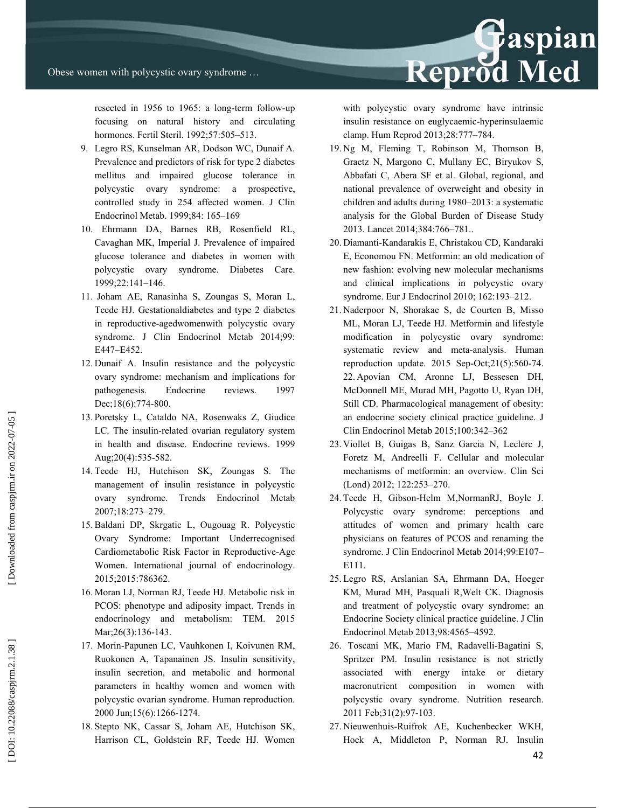resected in 1956 to 1965: a long-term follow-up focusing on natural history and circulating hormones. Fertil Steril. 1992;57:505–513.

- 9. Legro RS, Kunselman AR, Dodson WC, Dunaif A. Prevalence and predictors of risk for type 2 diabetes mellitus and impaired glucose tolerance in polycystic ovary syndrome: a prospective, controlled study in 254 affected women. J Clin Endocrinol Metab. 1999;84: 165–169
- 10. Ehrmann DA, Barnes RB, Rosenfield RL, Cavaghan MK, Imperial J. Prevalence of impaired glucose tolerance and diabetes in women with polycystic ovary syndrome. Diabetes Care. 1999;22:141–146.
- 11. Joham AE, Ranasinha S, Zoungas S, Moran L, Teede HJ. Gestationaldiabetes and type 2 diabetes in reproductive-agedwomenwith polycystic ovary syndrome. J Clin Endocrinol Metab 2014;99: E447–E452.
- 12. Dunaif A. Insulin resistance and the polycystic ovary syndrome: mechanism and implications for pathogenesis. Endocrine reviews. 1997 Dec;18(6):774-800.
- 13. Poretsky L, Cataldo NA, Rosenwaks Z, Giudice LC. The insulin-related ovarian regulatory system in health and disease. Endocrine reviews. 1999 Aug;20(4):535-582.
- 14. Teede HJ, Hutchison SK, Zoungas S. The management of insulin resistance in polycystic ovary syndrome. Trends Endocrinol Metab 2007;18:273–279.
- 15. Baldani DP, Skrgatic L, Ougouag R. Polycystic Ovary Syndrome: Important Underrecognised Cardiometabolic Risk Factor in Reproductive-Age Women. International journal of endocrinology. 2015;2015:786362.
- 16. Moran LJ, Norman RJ, Teede HJ. Metabolic risk in PCOS: phenotype and adiposity impact. Trends in endocrinology and metabolism: TEM. 2015 Mar; 26(3): 136-143.
- 17. Morin-Papunen LC, Vauhkonen I, Koivunen RM, Ruokonen A, Tapanainen JS. Insulin sensitivity, insulin secretion, and metabolic and hormonal parameters in healthy women and women with polycystic ovarian syndrome. Human reproduction. 2000 Jun;15(6):1266-1274.
- 18. Stepto NK, Cassar S, Joham AE, Hutchison SK, Harrison CL, Goldstein RF, Teede HJ. Women

with polycystic ovary syndrome have intrinsic insulin resistance on euglycaemic-hyperinsulaemic clamp. Hum Reprod 2013;28:777–784.

Reprod Med

- 19. Ng M, Fleming T, Robinson M, Thomson B, Graetz N, Margono C, Mullany EC, Biryukov S, Abbafati C, Abera SF et al. Global, regional, and national prevalence of overweight and obesity in children and adults during 1980–2013: a systematic analysis for the Global Burden of Disease Study 2013. Lancet 2014;384:766–781..
- 20. Diamanti-Kandarakis E, Christakou CD, Kandaraki E, Economou FN. Metformin: an old medication of new fashion: evolving new molecular mechanisms and clinical implications in polycystic ovary syndrome. Eur J Endocrinol 2010; 162:193–212.
- 21. Naderpoor N, Shorakae S, de Courten B, Misso ML, Moran LJ, Teede HJ. Metformin and lifestyle modification in polycystic ovary syndrome: systematic review and meta-analysis. Human reproduction update. 2015 Sep-Oct;21(5):560-74. 22. Apovian CM, Aronne LJ, Bessesen DH, McDonnell ME, Murad MH, Pagotto U, Ryan DH, Still CD. Pharmacological management of obesity: an endocrine society clinical practice guideline. J Clin Endocrinol Metab 2015;100:342–362
- 23. Viollet B, Guigas B, Sanz Garcia N, Leclerc J, Foretz M, Andreelli F. Cellular and molecular mechanisms of metformin: an overview. Clin Sci (Lond) 2012; 122:253–270.
- 24. Teede H, Gibson-Helm M,NormanRJ, Boyle J. Polycystic ovary syndrome: perceptions and attitudes of women and primary health care physicians on features of PCOS and renaming the syndrome. J Clin Endocrinol Metab 2014;99:E107– E111.
- 25. Legro RS, Arslanian SA, Ehrmann DA, Hoeger KM, Murad MH, Pasquali R,Welt CK. Diagnosis and treatment of polycystic ovary syndrome: an Endocrine Society clinical practice guideline. J Clin Endocrinol Metab 2013;98:4565–4592.
- 26. Toscani MK, Mario FM, Radavelli-Bagatini S, Spritzer PM. Insulin resistance is not strictly associated with energy intake or dietary macronutrient composition in women with polycystic ovary syndrome. Nutrition research. 2011 Feb;31(2):97-103.
- 27. Nieuwenhuis-Ruifrok AE, Kuchenbecker WKH, Hoek A, Middleton P, Norman RJ. Insulin

DOI: 10.22088/caspjrm.2.1.38